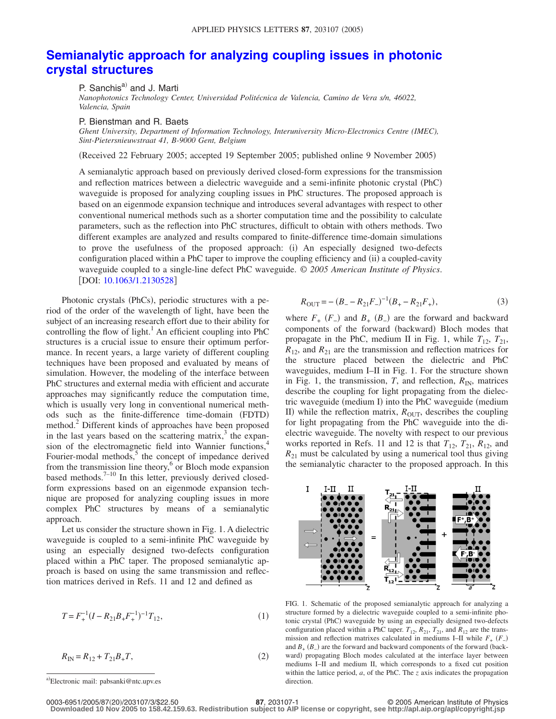## **[Semianalytic approach for analyzing coupling issues in photonic](http://dx.doi.org/10.1063/1.2130528) [crystal structures](http://dx.doi.org/10.1063/1.2130528)**

P. Sanchis<sup>a)</sup> and J. Marti

*Nanophotonics Technology Center, Universidad Politécnica de Valencia, Camino de Vera s/n, 46022, Valencia, Spain*

P. Bienstman and R. Baets

*Ghent University, Department of Information Technology, Interuniversity Micro-Electronics Centre (IMEC), Sint-Pietersnieuwstraat 41, B-9000 Gent, Belgium*

(Received 22 February 2005; accepted 19 September 2005; published online 9 November 2005)

A semianalytic approach based on previously derived closed-form expressions for the transmission and reflection matrices between a dielectric waveguide and a semi-infinite photonic crystal (PhC) waveguide is proposed for analyzing coupling issues in PhC structures. The proposed approach is based on an eigenmode expansion technique and introduces several advantages with respect to other conventional numerical methods such as a shorter computation time and the possibility to calculate parameters, such as the reflection into PhC structures, difficult to obtain with others methods. Two different examples are analyzed and results compared to finite-difference time-domain simulations to prove the usefulness of the proposed approach: (i) An especially designed two-defects configuration placed within a PhC taper to improve the coupling efficiency and (ii) a coupled-cavity waveguide coupled to a single-line defect PhC waveguide. © *2005 American Institute of Physics*. [DOI: [10.1063/1.2130528](http://dx.doi.org/10.1063/1.2130528)]

Photonic crystals (PhCs), periodic structures with a period of the order of the wavelength of light, have been the subject of an increasing research effort due to their ability for controlling the flow of light.<sup>1</sup> An efficient coupling into PhC structures is a crucial issue to ensure their optimum performance. In recent years, a large variety of different coupling techniques have been proposed and evaluated by means of simulation. However, the modeling of the interface between PhC structures and external media with efficient and accurate approaches may significantly reduce the computation time, which is usually very long in conventional numerical methods such as the finite-difference time-domain (FDTD) method.<sup>2</sup> Different kinds of approaches have been proposed in the last years based on the scattering matrix, $3$  the expansion of the electromagnetic field into Wannier functions,<sup>4</sup> Fourier-modal methods, $5$  the concept of impedance derived from the transmission line theory,<sup>6</sup> or Bloch mode expansion based methods. $7-10$  In this letter, previously derived closedform expressions based on an eigenmode expansion technique are proposed for analyzing coupling issues in more complex PhC structures by means of a semianalytic approach.

Let us consider the structure shown in Fig. 1. A dielectric waveguide is coupled to a semi-infinite PhC waveguide by using an especially designed two-defects configuration placed within a PhC taper. The proposed semianalytic approach is based on using the same transmission and reflection matrices derived in Refs. 11 and 12 and defined as

$$
T = F_{+}^{-1} (I - R_{21} B_{+} F_{+}^{-1})^{-1} T_{12}, \tag{1}
$$

$$
R_{\rm IN} = R_{12} + T_{21}B_+T,\tag{2}
$$

a-Electronic mail: pabsanki@ntc.upv.es

$$
R_{\text{OUT}} = -(B_{-} - R_{21}F_{-})^{-1}(B_{+} - R_{21}F_{+}),
$$
\n(3)

where  $F_{+}$   $(F_{-})$  and  $B_{+}$   $(B_{-})$  are the forward and backward components of the forward (backward) Bloch modes that propagate in the PhC, medium II in Fig. 1, while  $T_{12}$ ,  $T_{21}$ ,  $R_{12}$ , and  $R_{21}$  are the transmission and reflection matrices for the structure placed between the dielectric and PhC waveguides, medium I–II in Fig. 1. For the structure shown in Fig. 1, the transmission,  $T$ , and reflection,  $R_{IN}$ , matrices describe the coupling for light propagating from the dielectric waveguide (medium I) into the PhC waveguide (medium II) while the reflection matrix, *R*<sub>OUT</sub>, describes the coupling for light propagating from the PhC waveguide into the dielectric waveguide. The novelty with respect to our previous works reported in Refs. 11 and 12 is that  $T_{12}$ ,  $T_{21}$ ,  $R_{12}$ , and  $R_{21}$  must be calculated by using a numerical tool thus giving the semianalytic character to the proposed approach. In this



FIG. 1. Schematic of the proposed semianalytic approach for analyzing a structure formed by a dielectric waveguide coupled to a semi-infinite photonic crystal (PhC) waveguide by using an especially designed two-defects configuration placed within a PhC taper.  $T_{12}$ ,  $R_{21}$ ,  $T_{21}$ , and  $R_{12}$  are the transmission and reflection matrixes calculated in mediums I–II while  $F_+$   $(F_-)$ and  $B_{+}$  ( $B_{-}$ ) are the forward and backward components of the forward (backward) propagating Bloch modes calculated at the interface layer between mediums I–II and medium II, which corresponds to a fixed cut position within the lattice period, *a*, of the PhC. The *z* axis indicates the propagation direction.

**Downloaded 10 Nov 2005 to 158.42.159.63. Redistribution subject to AIP license or copyright, see http://apl.aip.org/apl/copyright.jsp**

**<sup>87</sup>**, 203107-1 © 2005 American Institute of Physics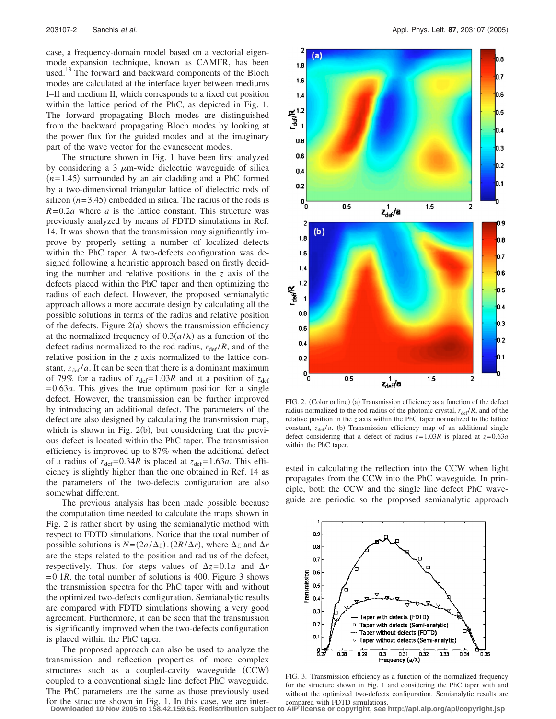case, a frequency-domain model based on a vectorial eigenmode expansion technique, known as CAMFR, has been used.<sup>13</sup> The forward and backward components of the Bloch modes are calculated at the interface layer between mediums I–II and medium II, which corresponds to a fixed cut position within the lattice period of the PhC, as depicted in Fig. 1. The forward propagating Bloch modes are distinguished from the backward propagating Bloch modes by looking at the power flux for the guided modes and at the imaginary part of the wave vector for the evanescent modes.

The structure shown in Fig. 1 have been first analyzed by considering a 3  $\mu$ m-wide dielectric waveguide of silica  $(n=1.45)$  surrounded by an air cladding and a PhC formed by a two-dimensional triangular lattice of dielectric rods of silicon  $(n=3.45)$  embedded in silica. The radius of the rods is  $R=0.2a$  where *a* is the lattice constant. This structure was previously analyzed by means of FDTD simulations in Ref. 14. It was shown that the transmission may significantly improve by properly setting a number of localized defects within the PhC taper. A two-defects configuration was designed following a heuristic approach based on firstly deciding the number and relative positions in the *z* axis of the defects placed within the PhC taper and then optimizing the radius of each defect. However, the proposed semianalytic approach allows a more accurate design by calculating all the possible solutions in terms of the radius and relative position of the defects. Figure  $2(a)$  shows the transmission efficiency at the normalized frequency of  $0.3(a/\lambda)$  as a function of the defect radius normalized to the rod radius,  $r_{\text{def}}/R$ , and of the relative position in the *z* axis normalized to the lattice constant,  $z_{\text{def}}/a$ . It can be seen that there is a dominant maximum of 79% for a radius of  $r_{\text{def}} = 1.03R$  and at a position of  $z_{\text{def}}$ = 0.63*a*. This gives the true optimum position for a single defect. However, the transmission can be further improved by introducing an additional defect. The parameters of the defect are also designed by calculating the transmission map, which is shown in Fig. 2(b), but considering that the previous defect is located within the PhC taper. The transmission efficiency is improved up to 87% when the additional defect of a radius of  $r_{\text{def}} = 0.34R$  is placed at  $z_{\text{def}} = 1.63a$ . This efficiency is slightly higher than the one obtained in Ref. 14 as the parameters of the two-defects configuration are also somewhat different.

The previous analysis has been made possible because the computation time needed to calculate the maps shown in Fig. 2 is rather short by using the semianalytic method with respect to FDTD simulations. Notice that the total number of possible solutions is  $N = (2a/\Delta z) \cdot (2R/\Delta r)$ , where  $\Delta z$  and  $\Delta r$ are the steps related to the position and radius of the defect, respectively. Thus, for steps values of  $\Delta z = 0.1a$  and  $\Delta r$  $= 0.1R$ , the total number of solutions is 400. Figure 3 shows the transmission spectra for the PhC taper with and without the optimized two-defects configuration. Semianalytic results are compared with FDTD simulations showing a very good agreement. Furthermore, it can be seen that the transmission is significantly improved when the two-defects configuration is placed within the PhC taper.

The proposed approach can also be used to analyze the transmission and reflection properties of more complex structures such as a coupled-cavity waveguide (CCW) coupled to a conventional single line defect PhC waveguide. The PhC parameters are the same as those previously used for the structure shown in Fig. 1. In this case, we are inter-



FIG. 2. (Color online) (a) Transmission efficiency as a function of the defect radius normalized to the rod radius of the photonic crystal,  $r_{\text{def}}/R$ , and of the relative position in the *z* axis within the PhC taper normalized to the lattice constant,  $z_{\text{def}}/a$ . (b) Transmission efficiency map of an additional single defect considering that a defect of radius  $r=1.03R$  is placed at  $z=0.63a$ within the PhC taper.

ested in calculating the reflection into the CCW when light propagates from the CCW into the PhC waveguide. In principle, both the CCW and the single line defect PhC waveguide are periodic so the proposed semianalytic approach



FIG. 3. Transmission efficiency as a function of the normalized frequency for the structure shown in Fig. 1 and considering the PhC taper with and without the optimized two-defects configuration. Semianalytic results are compared with FDTD simulations.

**Downloaded 10 Nov 2005 to 158.42.159.63. Redistribution subject to AIP license or copyright, see http://apl.aip.org/apl/copyright.jsp**